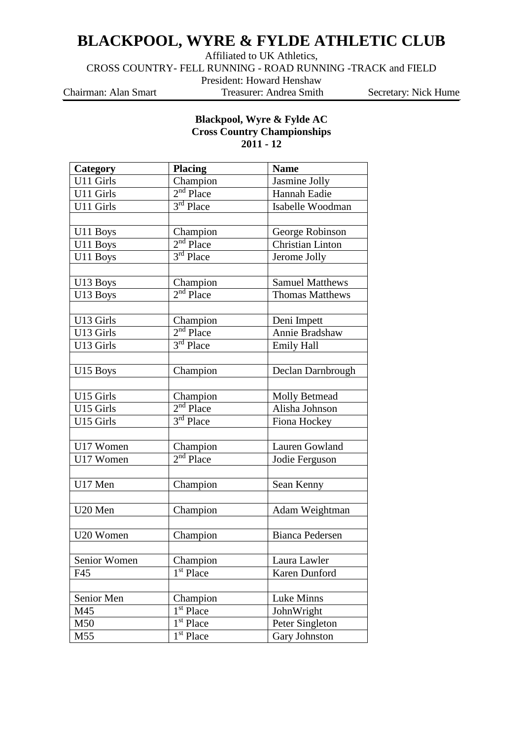## **BLACKPOOL, WYRE & FYLDE ATHLETIC CLUB**

Affiliated to UK Athletics,

CROSS COUNTRY- FELL RUNNING - ROAD RUNNING -TRACK and FIELD

President: Howard Henshaw

Chairman: Alan Smart Treasurer: Andrea Smith Secretary: Nick Hume

## **Blackpool, Wyre & Fylde AC Cross Country Championships 2011 - 12**

| Category     | <b>Placing</b>        | <b>Name</b>             |
|--------------|-----------------------|-------------------------|
| U11 Girls    | Champion              | Jasmine Jolly           |
| U11 Girls    | $2nd$ Place           | Hannah Eadie            |
| U11 Girls    | 3 <sup>rd</sup> Place | Isabelle Woodman        |
|              |                       |                         |
| U11 Boys     | Champion              | George Robinson         |
| U11 Boys     | $2nd$ Place           | <b>Christian Linton</b> |
| U11 Boys     | 3 <sup>rd</sup> Place | Jerome Jolly            |
|              |                       |                         |
| U13 Boys     | Champion              | <b>Samuel Matthews</b>  |
| U13 Boys     | $2nd$ Place           | <b>Thomas Matthews</b>  |
|              |                       |                         |
| U13 Girls    | Champion              | Deni Impett             |
| U13 Girls    | $2nd$ Place           | Annie Bradshaw          |
| U13 Girls    | $3rd$ Place           | <b>Emily Hall</b>       |
|              |                       |                         |
| U15 Boys     | Champion              | Declan Darnbrough       |
|              |                       |                         |
| U15 Girls    | Champion              | <b>Molly Betmead</b>    |
| U15 Girls    | $2nd$ Place           | Alisha Johnson          |
| U15 Girls    | $3rd$ Place           | Fiona Hockey            |
|              |                       |                         |
| U17 Women    | Champion              | Lauren Gowland          |
| U17 Women    | $2nd$ Place           | Jodie Ferguson          |
|              |                       |                         |
| U17 Men      | Champion              | Sean Kenny              |
|              |                       |                         |
| U20 Men      | Champion              | Adam Weightman          |
|              |                       |                         |
| U20 Women    | Champion              | <b>Bianca Pedersen</b>  |
|              |                       |                         |
| Senior Women | Champion              | Laura Lawler            |
| F45          | 1 <sup>st</sup> Place | Karen Dunford           |
|              |                       |                         |
| Senior Men   | Champion              | Luke Minns              |
| M45          | 1 <sup>st</sup> Place | JohnWright              |
| M50          | 1 <sup>st</sup> Place | Peter Singleton         |
| M55          | 1 <sup>st</sup> Place | Gary Johnston           |